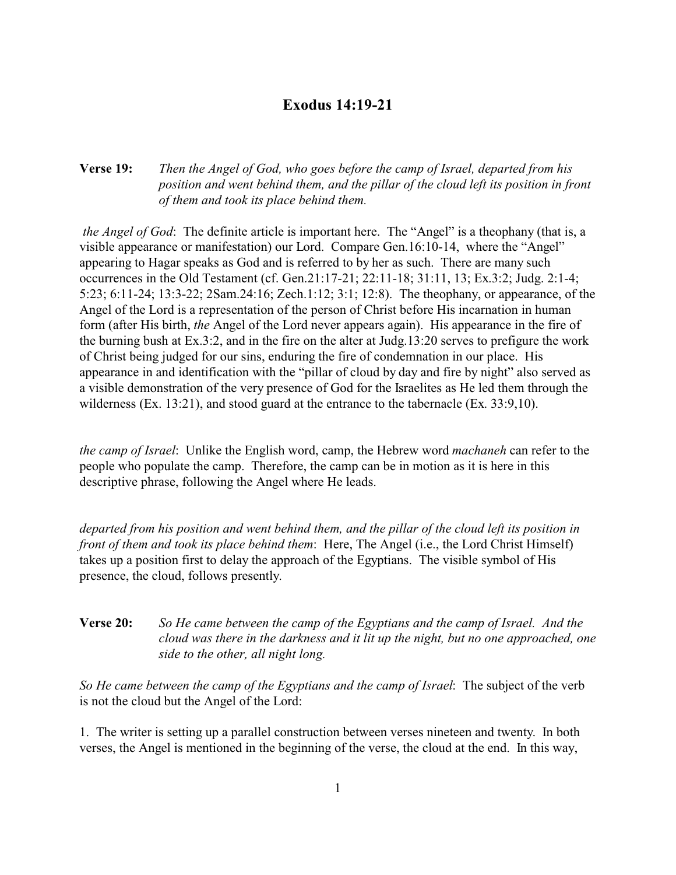## **Exodus 14:19-21**

## **Verse 19:** *Then the Angel of God, who goes before the camp of Israel, departed from his position and went behind them, and the pillar of the cloud left its position in front of them and took its place behind them.*

*the Angel of God*: The definite article is important here. The "Angel" is a theophany (that is, a visible appearance or manifestation) our Lord. Compare Gen.16:10-14, where the "Angel" appearing to Hagar speaks as God and is referred to by her as such. There are many such occurrences in the Old Testament (cf. Gen.21:17-21; 22:11-18; 31:11, 13; Ex.3:2; Judg. 2:1-4; 5:23; 6:11-24; 13:3-22; 2Sam.24:16; Zech.1:12; 3:1; 12:8). The theophany, or appearance, of the Angel of the Lord is a representation of the person of Christ before His incarnation in human form (after His birth, *the* Angel of the Lord never appears again). His appearance in the fire of the burning bush at Ex.3:2, and in the fire on the alter at Judg.13:20 serves to prefigure the work of Christ being judged for our sins, enduring the fire of condemnation in our place. His appearance in and identification with the "pillar of cloud by day and fire by night" also served as a visible demonstration of the very presence of God for the Israelites as He led them through the wilderness (Ex. 13:21), and stood guard at the entrance to the tabernacle (Ex. 33:9,10).

*the camp of Israel*: Unlike the English word, camp, the Hebrew word *machaneh* can refer to the people who populate the camp. Therefore, the camp can be in motion as it is here in this descriptive phrase, following the Angel where He leads.

*departed from his position and went behind them, and the pillar of the cloud left its position in front of them and took its place behind them*: Here, The Angel (i.e., the Lord Christ Himself) takes up a position first to delay the approach of the Egyptians. The visible symbol of His presence, the cloud, follows presently.

## **Verse 20:** *So He came between the camp of the Egyptians and the camp of Israel. And the cloud was there in the darkness and it lit up the night, but no one approached, one side to the other, all night long.*

*So He came between the camp of the Egyptians and the camp of Israel*: The subject of the verb is not the cloud but the Angel of the Lord:

1. The writer is setting up a parallel construction between verses nineteen and twenty. In both verses, the Angel is mentioned in the beginning of the verse, the cloud at the end. In this way,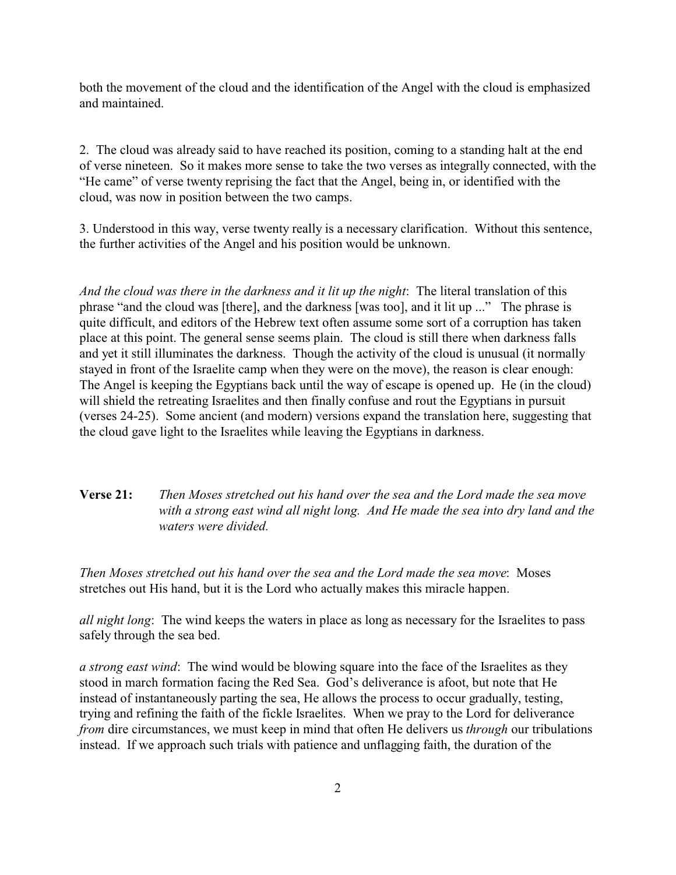both the movement of the cloud and the identification of the Angel with the cloud is emphasized and maintained.

2. The cloud was already said to have reached its position, coming to a standing halt at the end of verse nineteen. So it makes more sense to take the two verses as integrally connected, with the "He came" of verse twenty reprising the fact that the Angel, being in, or identified with the cloud, was now in position between the two camps.

3. Understood in this way, verse twenty really is a necessary clarification. Without this sentence, the further activities of the Angel and his position would be unknown.

*And the cloud was there in the darkness and it lit up the night*: The literal translation of this phrase "and the cloud was [there], and the darkness [was too], and it lit up ..." The phrase is quite difficult, and editors of the Hebrew text often assume some sort of a corruption has taken place at this point. The general sense seems plain. The cloud is still there when darkness falls and yet it still illuminates the darkness. Though the activity of the cloud is unusual (it normally stayed in front of the Israelite camp when they were on the move), the reason is clear enough: The Angel is keeping the Egyptians back until the way of escape is opened up. He (in the cloud) will shield the retreating Israelites and then finally confuse and rout the Egyptians in pursuit (verses 24-25). Some ancient (and modern) versions expand the translation here, suggesting that the cloud gave light to the Israelites while leaving the Egyptians in darkness.

## **Verse 21:** *Then Moses stretched out his hand over the sea and the Lord made the sea move with a strong east wind all night long. And He made the sea into dry land and the waters were divided.*

*Then Moses stretched out his hand over the sea and the Lord made the sea move*: Moses stretches out His hand, but it is the Lord who actually makes this miracle happen.

*all night long*: The wind keeps the waters in place as long as necessary for the Israelites to pass safely through the sea bed.

*a strong east wind*: The wind would be blowing square into the face of the Israelites as they stood in march formation facing the Red Sea. God's deliverance is afoot, but note that He instead of instantaneously parting the sea, He allows the process to occur gradually, testing, trying and refining the faith of the fickle Israelites. When we pray to the Lord for deliverance *from* dire circumstances, we must keep in mind that often He delivers us *through* our tribulations instead. If we approach such trials with patience and unflagging faith, the duration of the